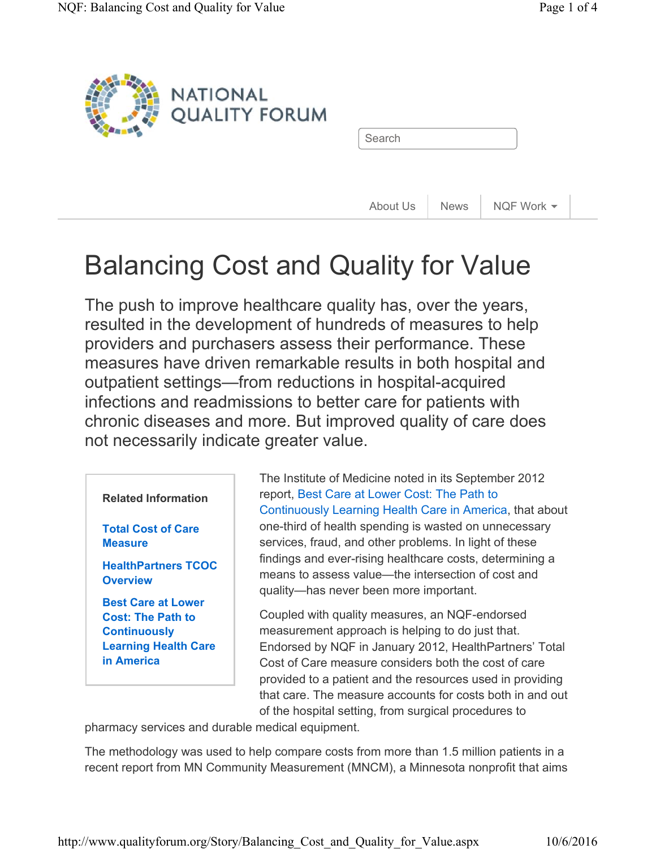

### Balancing Cost and Quality for Value

The push to improve healthcare quality has, over the years, resulted in the development of hundreds of measures to help providers and purchasers assess their performance. These measures have driven remarkable results in both hospital and outpatient settings—from reductions in hospital-acquired infections and readmissions to better care for patients with chronic diseases and more. But improved quality of care does not necessarily indicate greater value.

#### **Related Information**

**Total Cost of Care Measure** 

**HealthPartners TCOC Overview** 

**Best Care at Lower Cost: The Path to Continuously Learning Health Care in America** 

The Institute of Medicine noted in its September 2012 report, Best Care at Lower Cost: The Path to Continuously Learning Health Care in America, that about one-third of health spending is wasted on unnecessary services, fraud, and other problems. In light of these findings and ever-rising healthcare costs, determining a means to assess value—the intersection of cost and quality—has never been more important.

Coupled with quality measures, an NQF-endorsed measurement approach is helping to do just that. Endorsed by NQF in January 2012, HealthPartners' Total Cost of Care measure considers both the cost of care provided to a patient and the resources used in providing that care. The measure accounts for costs both in and out of the hospital setting, from surgical procedures to

pharmacy services and durable medical equipment.

The methodology was used to help compare costs from more than 1.5 million patients in a recent report from MN Community Measurement (MNCM), a Minnesota nonprofit that aims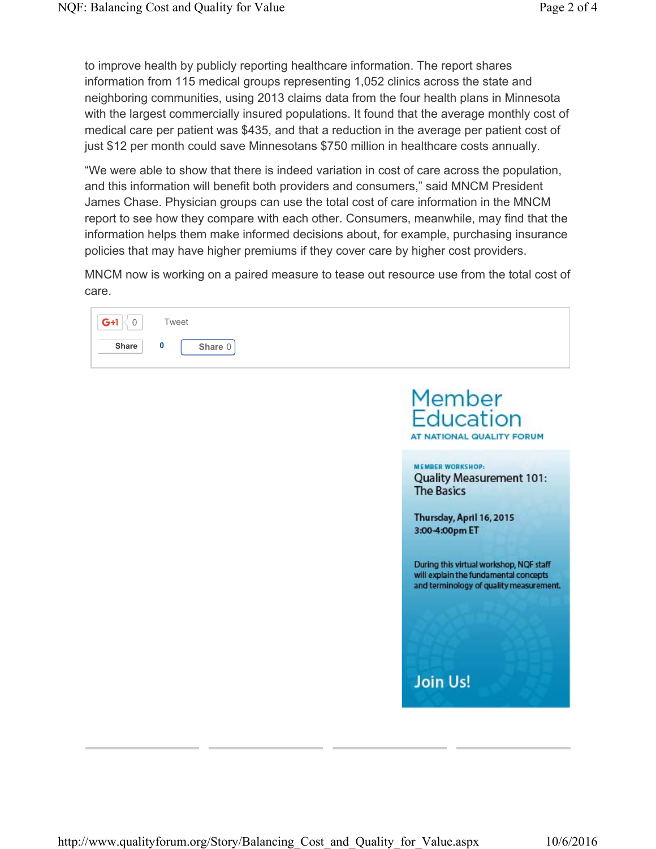to improve health by publicly reporting healthcare information. The report shares information from 115 medical groups representing 1,052 clinics across the state and neighboring communities, using 2013 claims data from the four health plans in Minnesota with the largest commercially insured populations. It found that the average monthly cost of medical care per patient was \$435, and that a reduction in the average per patient cost of just \$12 per month could save Minnesotans \$750 million in healthcare costs annually.

"We were able to show that there is indeed variation in cost of care across the population, and this information will benefit both providers and consumers," said MNCM President James Chase. Physician groups can use the total cost of care information in the MNCM report to see how they compare with each other. Consumers, meanwhile, may find that the information helps them make informed decisions about, for example, purchasing insurance policies that may have higher premiums if they cover care by higher cost providers.

MNCM now is working on a paired measure to tease out resource use from the total cost of care.



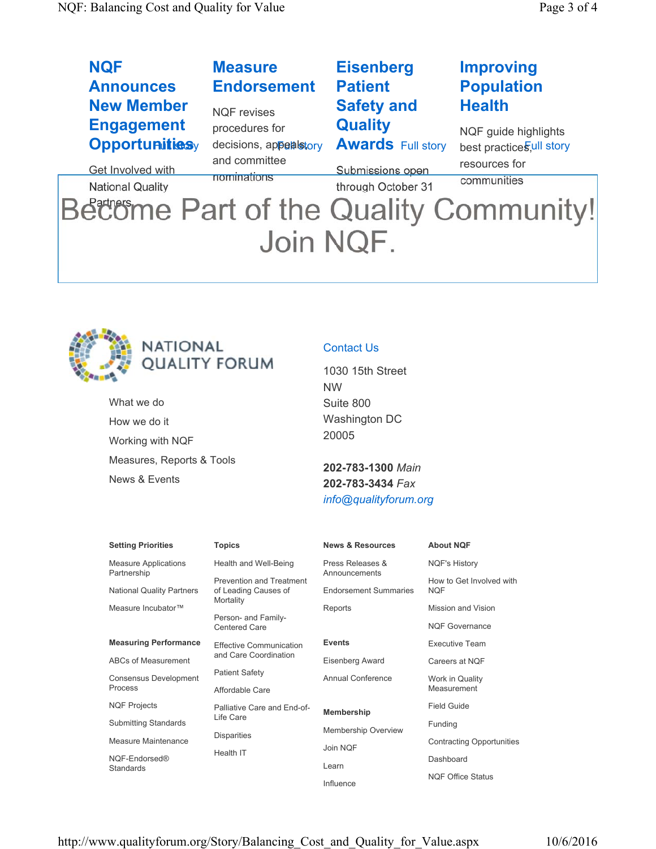| <b>NQF</b>                                 | <b>Measure</b>                           | <b>Eisenberg</b>                           | <b>Improving</b>                                 |
|--------------------------------------------|------------------------------------------|--------------------------------------------|--------------------------------------------------|
| <b>Announces</b>                           | <b>Endorsement</b>                       | <b>Patient</b>                             | <b>Population</b>                                |
| <b>New Member</b>                          | <b>NQF</b> revises                       | <b>Safety and</b>                          | <b>Health</b>                                    |
| <b>Engagement</b><br><b>Opportunitiesy</b> | procedures for<br>decisions, appealstory | <b>Quality</b><br><b>Awards Full story</b> | NQF guide highlights<br>best practices,ull story |
| <b>Get Involved with</b>                   | and committee                            | Submissions open                           | resources for                                    |
| <b>National Quality</b>                    | nominations                              | through October 31                         | communities                                      |
| Become Part of the Quality Community!      |                                          |                                            |                                                  |

## Join NQF.



# NATIONAL<br>QUALITY FORUM

What we do How we do it Working with NQF Measures, Reports & Tools News & Events

### Contact Us

| 1030 15th Street     |
|----------------------|
| <b>NW</b>            |
| Suite 800            |
| <b>Washington DC</b> |
| 20005                |

**202-783-1300** *Main* **202-783-3434** *Fax info@qualityforum.org*

| <b>Setting Priorities</b>                       | <b>Topics</b>                                           | <b>News &amp; Resources</b>                   | <b>About NQF</b>                       |
|-------------------------------------------------|---------------------------------------------------------|-----------------------------------------------|----------------------------------------|
| <b>Measure Applications</b>                     | Health and Well-Being                                   | Press Releases &                              | <b>NQF's History</b>                   |
| Partnership<br><b>National Quality Partners</b> | <b>Prevention and Treatment</b><br>of Leading Causes of | Announcements<br><b>Endorsement Summaries</b> | How to Get Involved with<br><b>NQF</b> |
| Measure Incubator™                              | Mortality                                               | Reports                                       | Mission and Vision                     |
|                                                 | Person- and Family-<br><b>Centered Care</b>             |                                               | <b>NQF Governance</b>                  |
| <b>Measuring Performance</b>                    | <b>Effective Communication</b>                          | <b>Events</b>                                 | <b>Executive Team</b>                  |
| ABCs of Measurement                             | and Care Coordination                                   | Eisenberg Award                               | Careers at NQF                         |
| <b>Consensus Development</b>                    | <b>Patient Safety</b>                                   | Annual Conference                             | Work in Quality                        |
| Process                                         | Affordable Care                                         |                                               | Measurement                            |
| <b>NQF Projects</b>                             | Palliative Care and End-of-                             | Membership                                    | <b>Field Guide</b>                     |
| <b>Submitting Standards</b>                     | Life Care                                               | <b>Membership Overview</b>                    | Funding                                |
| Measure Maintenance                             | <b>Disparities</b>                                      |                                               | Contracting Opportunities              |
| NQF-Endorsed®<br>Standards                      | Health IT                                               | Join NQF<br>Learn                             | Dashboard                              |
|                                                 |                                                         |                                               | <b>NQF Office Status</b>               |
|                                                 |                                                         | $\mathbf{r}$ and $\mathbf{r}$                 |                                        |

Influence

http://www.qualityforum.org/Story/Balancing\_Cost\_and\_Quality\_for\_Value.aspx 10/6/2016